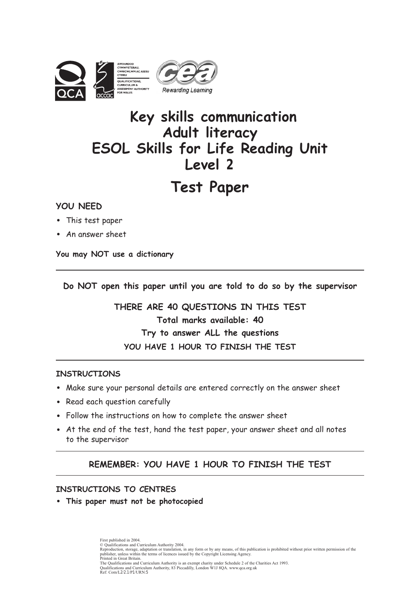

## **Key skills communication Adult literacy ESOL Skills for Life Reading Unit Level 2**

## **Test Paper**

#### **YOU NEED**

- This test paper
- An answer sheet

**You may NOT use a dictionary**

**Do NOT open this paper until you are told to do so by the supervisor**

**THERE ARE 40 QUESTIONS IN THIS TEST Total marks available: 40 Try to answer ALL the questions YOU HAVE 1 HOUR TO FINISH THE TEST**

#### **INSTRUCTIONS**

- Make sure your personal details are entered correctly on the answer sheet
- Read each question carefully
- Follow the instructions on how to complete the answer sheet
- At the end of the test, hand the test paper, your answer sheet and all notes to the supervisor

#### **REMEMBER: YOU HAVE 1 HOUR TO FINISH THE TEST**

#### **INSTRUCTIONS TO CENTRES**

• **This paper must not be photocopied**

First published in 2004. © Qualifications and Curriculum Authority 2004.<br>Reproduction, storage, adaptation or translation, in any form or by any means, of this publication is prohibited without prior written permission of the<br>publisher, unless wit Printed in Great Britain.<br>The Qualifications and Curriculum Authority is an exempt charity under Schedule 2 of the Charities Act 1993.<br>Qualifications and Curriculum Authority, 83 Piccadilly, London W1J 8QA. www.qca.org.uk<br>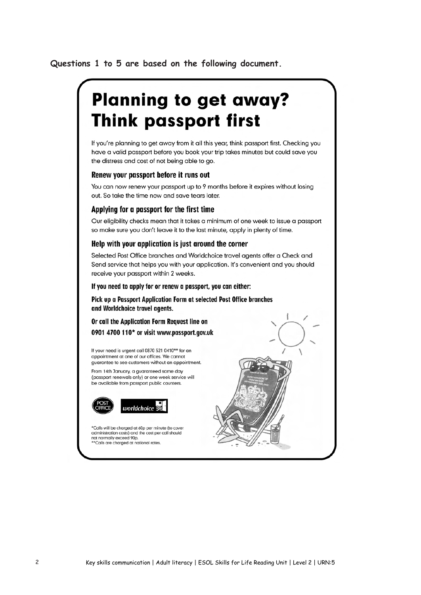#### **Questions 1 to 5 are based on the following document.**

# **Planning to get away? Think passport first**

If you're planning to get away from it all this year, think passport first. Checking you have a valid passport before you book your trip takes minutes but could save you the distress and cost of not being able to go.

#### Renew your passport before it runs out

You can now renew your passport up to 9 months before it expires without losing out. So take the time now and save tears later.

#### Applying for a passport for the first time

Our eligibility checks mean that it takes a minimum of one week to issue a passport so make sure you don't leave it to the last minute, apply in plenty of time.

#### Help with your application is just around the corner

Selected Post Office branches and Worldchoice travel agents offer a Check and Send service that helps you with your application. It's convenient and you should receive your passport within 2 weeks.

#### If you need to apply for or renew a passport, you can either:

Pick up a Passport Application Form at selected Post Office branches and Worldchoice travel agents.

#### Or call the Application Form Request line on

0901 4700 110\* or visit www.passport.gov.uk

If your need is urgent call 0870 521 0410\*\* for an appointment at one of our offices. We cannot guarantee to see customers without an appointment.

From 14th January, a guaranteed same day (passport renewals only) or one week service will be available from passport public counters.





\*Calls will be charged at 60p per minute (to cover administration costs) and the cost per call should not normally exceed 90p.<br>\*\*Calls are charged at national rates

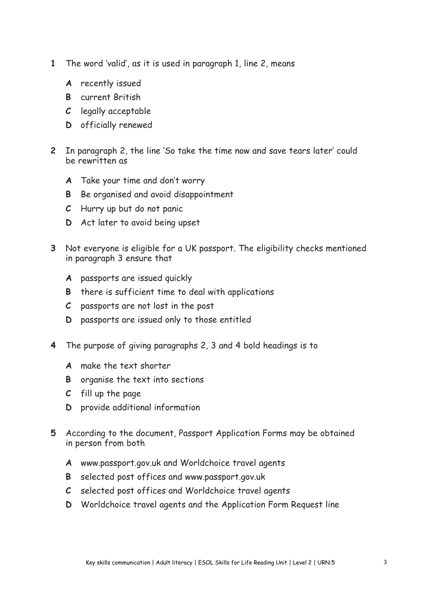- **1** The word 'valid', as it is used in paragraph 1, line 2, means
	- **A** recently issued
	- **B** current British
	- **C** legally acceptable
	- **D** officially renewed
- **2** In paragraph 2, the line 'So take the time now and save tears later' could be rewritten as
	- **A** Take your time and don't worry
	- **B** Be organised and avoid disappointment
	- **C** Hurry up but do not panic
	- **D** Act later to avoid being upset
- **3** Not everyone is eligible for a UK passport. The eligibility checks mentioned in paragraph 3 ensure that
	- **A** passports are issued quickly
	- **B** there is sufficient time to deal with applications
	- **C** passports are not lost in the post
	- **D** passports are issued only to those entitled
- **4** The purpose of giving paragraphs 2, 3 and 4 bold headings is to
	- **A** make the text shorter
	- **B** organise the text into sections
	- **C** fill up the page
	- **D** provide additional information
- **5** According to the document, Passport Application Forms may be obtained in person from both
	- **A** www.passport.gov.uk and Worldchoice travel agents
	- **B** selected post offices and www.passport.gov.uk
	- **C** selected post offices and Worldchoice travel agents
	- **D** Worldchoice travel agents and the Application Form Request line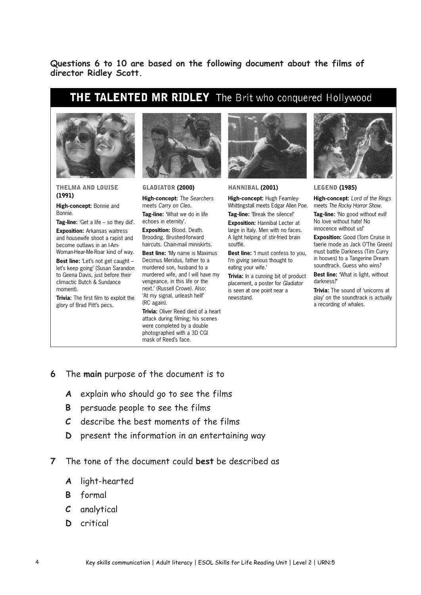**Questions 6 to 10 are based on the following document about the films of director Ridley Scott.**

## THE TALENTED MR RIDLEY The Brit who conquered Hollywood



THELMA AND LOUISE (1991)

**High-concept:** Bonnie and Bonnie.

**Tag-line:** 'Get a life – so they did'. **Exposition:** Arkansas waitress and housewife shoot a rapist and become outlaws in an I-Am-Woman-Hear-Me-Roar kind of way.

**Best line:** 'Let's not get caught let's keep going' (Susan Sarandon to Geena Davis, just before their climactic Butch & Sundance moment).

**Trivia:** The first film to exploit the glory of Brad Pitt's pecs.



GLADIATOR (2000)

**High-concept:** *The Searchers* meets *Carry on Cleo*.

**Tag-line:** 'What we do in life echoes in eternity'.

**Exposition:** Blood. Death. Brooding. Brushed-forward haircuts. Chain-mail miniskirts.

**Best line:** 'My name is Maximus Decimus Meridus, father to a murdered son, husband to a murdered wife, and I will have my vengeance, in this life or the next.' (Russell Crowe). Also: 'At my signal, unleash hell!' (RC again).

**Trivia:** Oliver Reed died of a heart attack during filming; his scenes were completed by a double photographed with a 3D CGI mask of Reed's face.



HANNIBAL (2001)

**High-concept:** Hugh Fearnley-Whittingstall meets Edgar Allen Poe.

**Tag-line:** 'Break the silence!'

**Exposition:** Hannibal Lecter at large in Italy. Men with no faces. A light helping of stir-fried brain soufflé.

**Best line:** 'I must confess to you, I'm giving serious thought to eating your wife.'

**Trivia:** In a cunning bit of product placement, a poster for *Gladiator* is seen at one point near a newsstand.



LEGEND (1985)

**High-concept:** *Lord of the Rings* meets *The Rocky Horror Show*.

**Tag-line:** 'No good without evil! No love without hate! No innocence without us!'

**Exposition:** Good (Tom Cruise in faerie mode as Jack O'The Green) must battle Darkness (Tim Curry in hooves) to a Tangerine Dream soundtrack. Guess who wins?

**Best line:** 'What is light, without darkness?'

**Trivia:** The sound of 'unicorns at play' on the soundtrack is actually a recording of whales.

- **6** The **main** purpose of the document is to
	- **A** explain who should go to see the films
	- **B** persuade people to see the films
	- **C** describe the best moments of the films
	- **D** present the information in an entertaining way

**7** The tone of the document could **best** be described as

- **A** light-hearted
- **B** formal
- **C** analytical
- **D** critical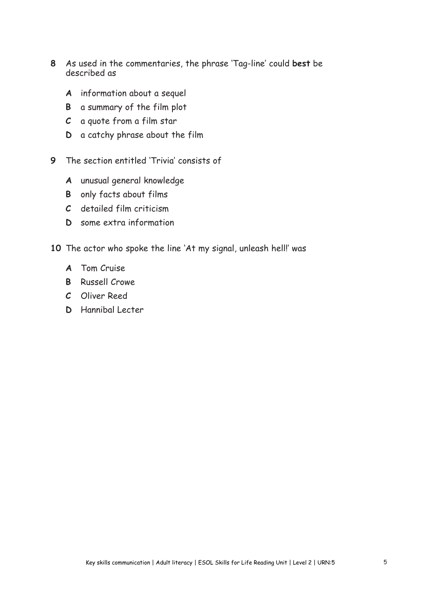- **8** As used in the commentaries, the phrase 'Tag-line' could **best** be described as
	- **A** information about a sequel
	- **B** a summary of the film plot
	- **C** a quote from a film star
	- **D** a catchy phrase about the film
- **9** The section entitled 'Trivia' consists of
	- **A** unusual general knowledge
	- **B** only facts about films
	- **C** detailed film criticism
	- **D** some extra information
- **10** The actor who spoke the line 'At my signal, unleash hell!' was
	- **A** Tom Cruise
	- **B** Russell Crowe
	- **C** Oliver Reed
	- **D** Hannibal Lecter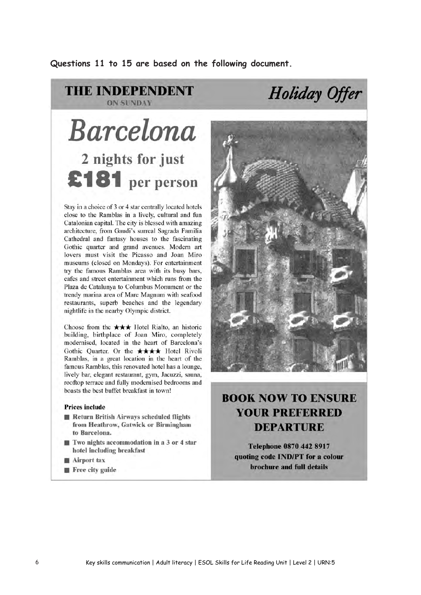**Questions 11 to 15 are based on the following document.**

#### **THE INDEPENDENT ON SUNDAY**

# **Barcelona** 2 nights for just £181 per person

Stay in a choice of 3 or 4 star centrally located hotels close to the Ramblas in a lively, cultural and fun Catalonian capital. The city is blessed with amazing architecture, from Gaudi's surreal Sagrada Familia Cathedral and fantasy houses to the fascinating Gothic quarter and grand avenues. Modern art lovers must visit the Picasso and Joan Miro museums (closed on Mondays). For entertainment try the famous Ramblas area with its busy bars, cafes and street entertainment which runs from the Plaza de Catalunya to Columbus Monument or the trendy marina area of Mare Magnum with seafood restaurants, superb beaches and the legendary nightlife in the nearby Olympic district.

Choose from the  $\star \star \star$  Hotel Rialto, an historic building, birthplace of Joan Miro, completely modernised, located in the heart of Barcelona's Gothic Quarter. Or the \*\*\*\* Hotel Rivoli Ramblas, in a great location in the heart of the famous Ramblas, this renovated hotel has a lounge, lively bar, elegant restaurant, gym, Jacuzzi, sauna, rooftop terrace and fully modernised bedrooms and boasts the best buffet breakfast in town!

#### **Prices include**

- Return British Airways scheduled flights from Heathrow, Gatwick or Birmingham to Barcelona.
- $\blacksquare$  Two nights accommodation in a 3 or 4 star hotel including breakfast
- **Airport** tax
- Free city guide



Holiday Offer

### **BOOK NOW TO ENSURE YOUR PREFERRED DEPARTURE**

**Telephone 0870 442 8917** quoting code IND/PT for a colour brochure and full details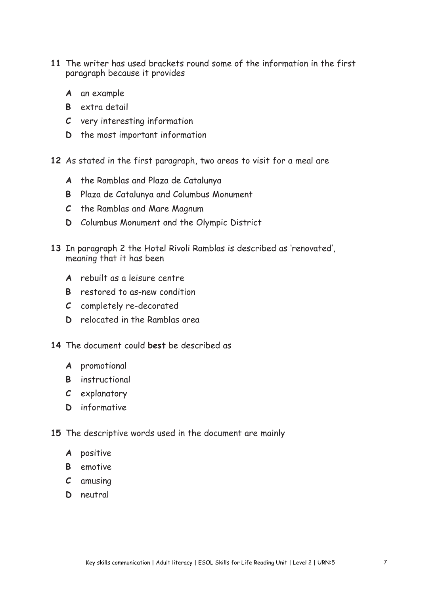- **11** The writer has used brackets round some of the information in the first paragraph because it provides
	- **A** an example
	- **B** extra detail
	- **C** very interesting information
	- **D** the most important information
- **12** As stated in the first paragraph, two areas to visit for a meal are
	- **A** the Ramblas and Plaza de Catalunya
	- **B** Plaza de Catalunya and Columbus Monument
	- **C** the Ramblas and Mare Magnum
	- **D** Columbus Monument and the Olympic District
- **13** In paragraph 2 the Hotel Rivoli Ramblas is described as 'renovated', meaning that it has been
	- **A** rebuilt as a leisure centre
	- **B** restored to as-new condition
	- **C** completely re-decorated
	- **D** relocated in the Ramblas area
- **14** The document could **best** be described as
	- **A** promotional
	- **B** instructional
	- **C** explanatory
	- **D** informative
- **15** The descriptive words used in the document are mainly
	- **A** positive
	- **B** emotive
	- **C** amusing
	- **D** neutral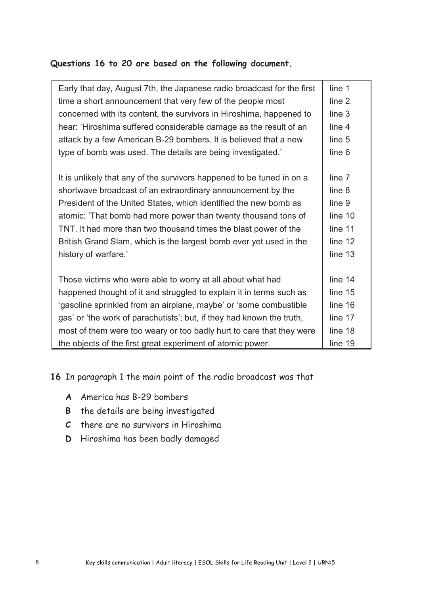#### **Questions 16 to 20 are based on the following document.**

| Early that day, August 7th, the Japanese radio broadcast for the first | line 1  |
|------------------------------------------------------------------------|---------|
| time a short announcement that very few of the people most             | line 2  |
| concerned with its content, the survivors in Hiroshima, happened to    | line 3  |
| hear: 'Hiroshima suffered considerable damage as the result of an      | line 4  |
| attack by a few American B-29 bombers. It is believed that a new       | line 5  |
| type of bomb was used. The details are being investigated.'            | line 6  |
|                                                                        |         |
| It is unlikely that any of the survivors happened to be tuned in on a  | line 7  |
| shortwave broadcast of an extraordinary announcement by the            | line 8  |
| President of the United States, which identified the new bomb as       | line 9  |
| atomic: 'That bomb had more power than twenty thousand tons of         | line 10 |
| TNT. It had more than two thousand times the blast power of the        | line 11 |
| British Grand Slam, which is the largest bomb ever yet used in the     | line 12 |
| history of warfare.'                                                   | line 13 |
|                                                                        |         |
| Those victims who were able to worry at all about what had             | line 14 |
| happened thought of it and struggled to explain it in terms such as    | line 15 |
| 'gasoline sprinkled from an airplane, maybe' or 'some combustible      | line 16 |
| gas' or 'the work of parachutists'; but, if they had known the truth,  | line 17 |
| most of them were too weary or too badly hurt to care that they were   | line 18 |
| the objects of the first great experiment of atomic power.             | line 19 |

**16** In paragraph 1 the main point of the radio broadcast was that

- **A** America has B-29 bombers
- **B** the details are being investigated
- **C** there are no survivors in Hiroshima
- **D** Hiroshima has been badly damaged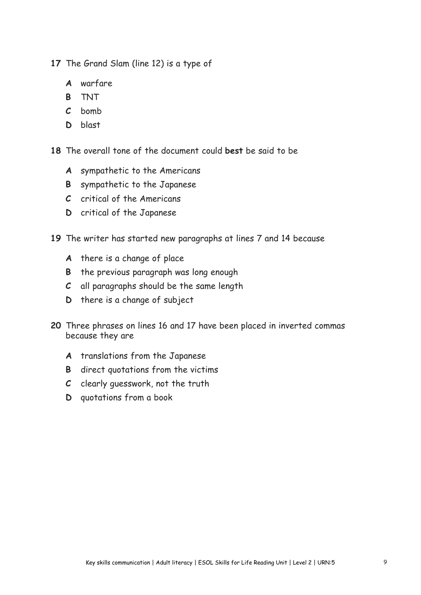**17** The Grand Slam (line 12) is a type of

- **A** warfare
- **B** TNT
- **C** bomb
- **D** blast

**18** The overall tone of the document could **best** be said to be

- **A** sympathetic to the Americans
- **B** sympathetic to the Japanese
- **C** critical of the Americans
- **D** critical of the Japanese

**19** The writer has started new paragraphs at lines 7 and 14 because

- **A** there is a change of place
- **B** the previous paragraph was long enough
- **C** all paragraphs should be the same length
- **D** there is a change of subject
- **20** Three phrases on lines 16 and 17 have been placed in inverted commas because they are
	- **A** translations from the Japanese
	- **B** direct quotations from the victims
	- **C** clearly guesswork, not the truth
	- **D** quotations from a book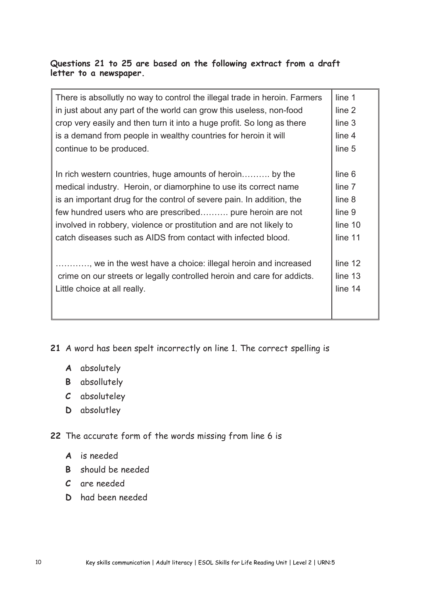#### **Questions 21 to 25 are based on the following extract from a draft letter to a newspaper.**

| There is absollutly no way to control the illegal trade in heroin. Farmers<br>in just about any part of the world can grow this useless, non-food<br>crop very easily and then turn it into a huge profit. So long as there<br>is a demand from people in wealthy countries for heroin it will | line 1<br>line 2<br>line 3<br>line 4 |
|------------------------------------------------------------------------------------------------------------------------------------------------------------------------------------------------------------------------------------------------------------------------------------------------|--------------------------------------|
| continue to be produced.                                                                                                                                                                                                                                                                       | line 5                               |
|                                                                                                                                                                                                                                                                                                |                                      |
| In rich western countries, huge amounts of heroin by the                                                                                                                                                                                                                                       | line 6                               |
| medical industry. Heroin, or diamorphine to use its correct name                                                                                                                                                                                                                               | line 7                               |
| is an important drug for the control of severe pain. In addition, the                                                                                                                                                                                                                          | line 8                               |
| few hundred users who are prescribed pure heroin are not                                                                                                                                                                                                                                       | line 9                               |
| involved in robbery, violence or prostitution and are not likely to                                                                                                                                                                                                                            | line 10                              |
| catch diseases such as AIDS from contact with infected blood.                                                                                                                                                                                                                                  | line 11                              |
|                                                                                                                                                                                                                                                                                                |                                      |
| , we in the west have a choice: illegal heroin and increased                                                                                                                                                                                                                                   | line 12                              |
| crime on our streets or legally controlled heroin and care for addicts.                                                                                                                                                                                                                        | line 13                              |
| Little choice at all really.                                                                                                                                                                                                                                                                   | line 14                              |
|                                                                                                                                                                                                                                                                                                |                                      |
|                                                                                                                                                                                                                                                                                                |                                      |

**21** A word has been spelt incorrectly on line 1. The correct spelling is

- **A** absolutely
- **B** absollutely
- **C** absoluteley
- **D** absolutley

**22** The accurate form of the words missing from line 6 is

- **A** is needed
- **B** should be needed
- **C** are needed
- **D** had been needed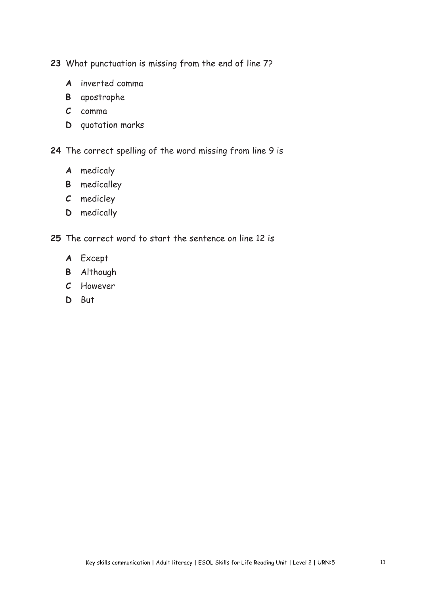**23** What punctuation is missing from the end of line 7?

- **A** inverted comma
- **B** apostrophe
- **C** comma
- **D** quotation marks

**24** The correct spelling of the word missing from line 9 is

- **A** medicaly
- **B** medicalley
- **C** medicley
- **D** medically

**25** The correct word to start the sentence on line 12 is

- **A** Except
- **B** Although
- **C** However
- **D** But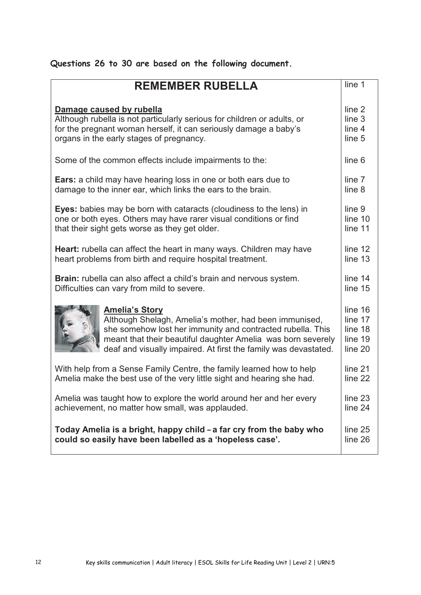| Questions 26 to 30 are based on the following document. |  |  |  |  |  |  |
|---------------------------------------------------------|--|--|--|--|--|--|
|---------------------------------------------------------|--|--|--|--|--|--|

| <b>REMEMBER RUBELLA</b>                                                    | line 1  |
|----------------------------------------------------------------------------|---------|
|                                                                            |         |
| Damage caused by rubella                                                   | line 2  |
| Although rubella is not particularly serious for children or adults, or    | line 3  |
| for the pregnant woman herself, it can seriously damage a baby's           | line 4  |
| organs in the early stages of pregnancy.                                   | line 5  |
| Some of the common effects include impairments to the:                     | line 6  |
| <b>Ears:</b> a child may have hearing loss in one or both ears due to      | line 7  |
| damage to the inner ear, which links the ears to the brain.                | line 8  |
| <b>Eyes:</b> babies may be born with cataracts (cloudiness to the lens) in | line 9  |
| one or both eyes. Others may have rarer visual conditions or find          | line 10 |
| that their sight gets worse as they get older.                             | line 11 |
| <b>Heart:</b> rubella can affect the heart in many ways. Children may have | line 12 |
| heart problems from birth and require hospital treatment.                  | line 13 |
| Brain: rubella can also affect a child's brain and nervous system.         | line 14 |
| Difficulties can vary from mild to severe.                                 | line 15 |
| <b>Amelia's Story</b>                                                      | line 16 |
| Although Shelagh, Amelia's mother, had been immunised,                     | line 17 |
| she somehow lost her immunity and contracted rubella. This                 | line 18 |
| meant that their beautiful daughter Amelia was born severely               | line 19 |
| deaf and visually impaired. At first the family was devastated.            | line 20 |
| With help from a Sense Family Centre, the family learned how to help       | line 21 |
| Amelia make the best use of the very little sight and hearing she had.     | line 22 |
| Amelia was taught how to explore the world around her and her every        | line 23 |
| achievement, no matter how small, was applauded.                           | line 24 |
| Today Amelia is a bright, happy child - a far cry from the baby who        | line 25 |
| could so easily have been labelled as a 'hopeless case'.                   | line 26 |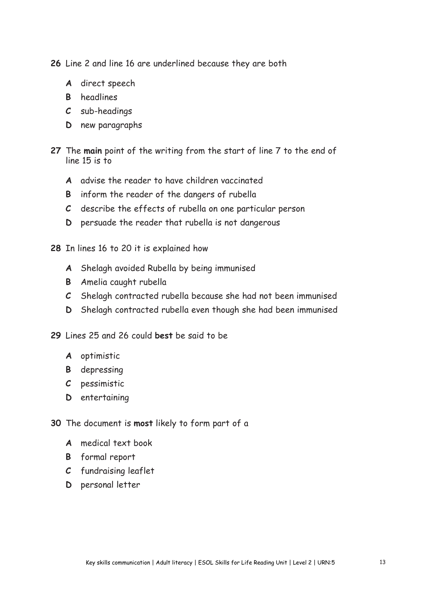**26** Line 2 and line 16 are underlined because they are both

- **A** direct speech
- **B** headlines
- **C** sub-headings
- **D** new paragraphs
- **27** The **main** point of the writing from the start of line 7 to the end of line 15 is to
	- **A** advise the reader to have children vaccinated
	- **B** inform the reader of the dangers of rubella
	- **C** describe the effects of rubella on one particular person
	- **D** persuade the reader that rubella is not dangerous
- **28** In lines 16 to 20 it is explained how
	- **A** Shelagh avoided Rubella by being immunised
	- **B** Amelia caught rubella
	- **C** Shelagh contracted rubella because she had not been immunised
	- **D** Shelagh contracted rubella even though she had been immunised
- **29** Lines 25 and 26 could **best** be said to be
	- **A** optimistic
	- **B** depressing
	- **C** pessimistic
	- **D** entertaining
- **30** The document is **most** likely to form part of a
	- **A** medical text book
	- **B** formal report
	- **C** fundraising leaflet
	- **D** personal letter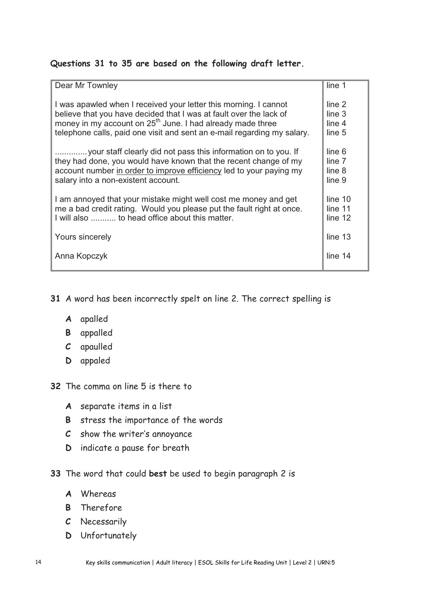#### **Questions 31 to 35 are based on the following draft letter.**

| Dear Mr Townley                                                         | line 1            |
|-------------------------------------------------------------------------|-------------------|
| I was apawled when I received your letter this morning. I cannot        | line 2            |
| believe that you have decided that I was at fault over the lack of      | line <sub>3</sub> |
| money in my account on 25 <sup>th</sup> June. I had already made three  | line 4            |
| telephone calls, paid one visit and sent an e-mail regarding my salary. | line 5            |
| your staff clearly did not pass this information on to you. If          | line 6            |
| they had done, you would have known that the recent change of my        | line 7            |
| account number in order to improve efficiency led to your paying my     | line 8            |
| salary into a non-existent account.                                     | line 9            |
| I am annoyed that your mistake might well cost me money and get         | line 10           |
| me a bad credit rating. Would you please put the fault right at once.   | line 11           |
| I will also  to head office about this matter.                          | line 12           |
| Yours sincerely                                                         | line 13           |
| Anna Kopczyk                                                            | line 14           |

- **31** A word has been incorrectly spelt on line 2. The correct spelling is
	- **A** apalled
	- **B** appalled
	- **C** apaulled
	- **D** appaled
- **32** The comma on line 5 is there to
	- **A** separate items in a list
	- **B** stress the importance of the words
	- **C** show the writer's annoyance
	- **D** indicate a pause for breath
- **33** The word that could **best** be used to begin paragraph 2 is
	- **A** Whereas
	- **B** Therefore
	- **C** Necessarily
	- **D** Unfortunately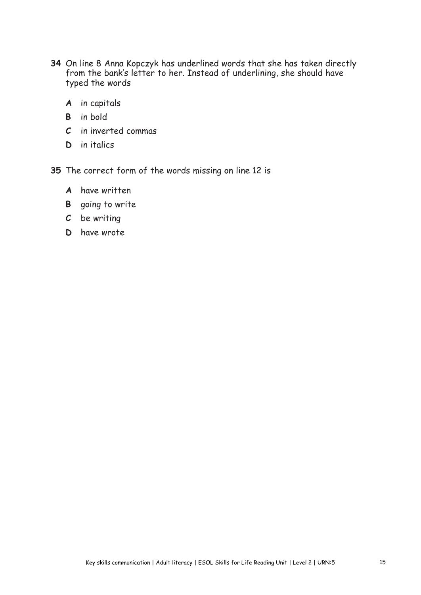- **34** On line 8 Anna Kopczyk has underlined words that she has taken directly from the bank's letter to her. Instead of underlining, she should have typed the words
	- **A** in capitals
	- **B** in bold
	- **C** in inverted commas
	- **D** in italics

**35** The correct form of the words missing on line 12 is

- **A** have written
- **B** going to write
- **C** be writing
- **D** have wrote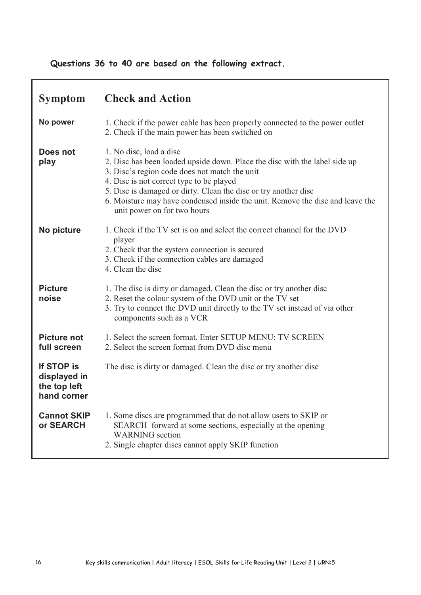#### **Questions 36 to 40 are based on the following extract.**

| <b>Symptom</b>                                            | <b>Check and Action</b>                                                                                                                                                                                                                                                                                                                                                               |
|-----------------------------------------------------------|---------------------------------------------------------------------------------------------------------------------------------------------------------------------------------------------------------------------------------------------------------------------------------------------------------------------------------------------------------------------------------------|
| No power                                                  | 1. Check if the power cable has been properly connected to the power outlet<br>2. Check if the main power has been switched on                                                                                                                                                                                                                                                        |
| Does not<br>play                                          | 1. No disc, load a disc<br>2. Disc has been loaded upside down. Place the disc with the label side up<br>3. Disc's region code does not match the unit<br>4. Disc is not correct type to be played<br>5. Disc is damaged or dirty. Clean the disc or try another disc<br>6. Moisture may have condensed inside the unit. Remove the disc and leave the<br>unit power on for two hours |
| No picture                                                | 1. Check if the TV set is on and select the correct channel for the DVD<br>player<br>2. Check that the system connection is secured<br>3. Check if the connection cables are damaged<br>4. Clean the disc                                                                                                                                                                             |
| <b>Picture</b><br>noise                                   | 1. The disc is dirty or damaged. Clean the disc or try another disc<br>2. Reset the colour system of the DVD unit or the TV set<br>3. Try to connect the DVD unit directly to the TV set instead of via other<br>components such as a VCR                                                                                                                                             |
| <b>Picture not</b><br>full screen                         | 1. Select the screen format. Enter SETUP MENU: TV SCREEN<br>2. Select the screen format from DVD disc menu                                                                                                                                                                                                                                                                            |
| If STOP is<br>displayed in<br>the top left<br>hand corner | The disc is dirty or damaged. Clean the disc or try another disc                                                                                                                                                                                                                                                                                                                      |
| <b>Cannot SKIP</b><br>or SEARCH                           | 1. Some discs are programmed that do not allow users to SKIP or<br>SEARCH forward at some sections, especially at the opening<br><b>WARNING</b> section<br>2. Single chapter discs cannot apply SKIP function                                                                                                                                                                         |